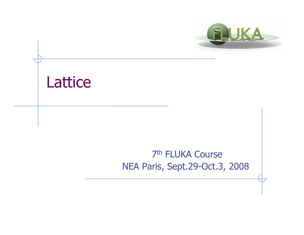



### 7th FLUKA CourseNEA Paris, Sept.29-Oct.3, 2008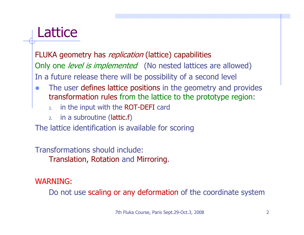## **Lattice**

FLUKA geometry has *replication* (lattice) capabilities Only one *level is implemented* (No nested lattices are allowed) In a future release there will be possibility of a second level

- $\bullet$  The user defines lattice positions in the geometry and provides transformation rules from the lattice to the prototype region:
	- 1.in the input with the ROT-DEFI card
	- 2. in a subroutine (lattic.f )

The lattice identification is available for scoring

Transformations should include:Translation, Rotation and Mirroring.

### WARNING:

Do not use scaling or any deformation of the coordinate system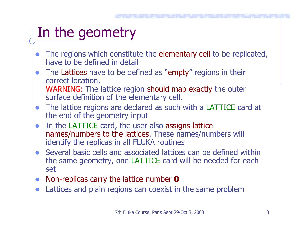# In the geometry

- $\bullet$  The regions which constitute the elementary cell to be replicated, have to be defined in detail
- $\bullet$ The Lattices have to be defined as "empty" regions in their correct location.WARNING: The lattice region should map exactly the outer surface definition of the elementary cell.
- $\bullet$  The lattice regions are declared as such with a LATTICE card at the end of the geometry input
- $\bullet$  In the LATTICE card, the user also assigns lattice names/numbers to the lattices. These names/numbers will identify the replicas in all FLUKA routines
- $\bullet$  Several basic cells and associated lattices can be defined within the same geometry, one LATTICE card will be needed for each set
- $\bullet$ Non-replicas carry the lattice number **0**
- $\bullet$ Lattices and plain regions can coexist in the same problem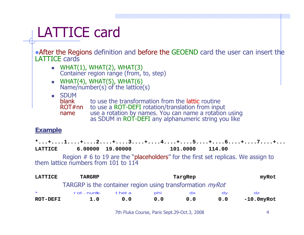# LATTICE card

• After the Regions definition and before the GEOEND card the user can insert the LATTICE cards

- $\blacksquare$  WHAT(1), WHAT(2), WHAT(3) Container region range (from, to, step)
- WHAT(4), WHAT(5), WHAT(6)  $Name/number(s)$  of the lattice(s)
- SDUM

blankto use the transformation from the lattic routine

- ROT#nnto use a ROT-DEFI rotation/translation from input
- name use a rotation by names. You can name a rotation using as SDUM in ROT-DEFI any alphanumeric string you like

#### **Example Example**

**\*...+....1....+....2....+....3....+....4....+....5....+....6....+....7....+...LATTICE 6.00000 19.00000 101.0000 114.00**

Region # 6 to 19 are the "placeholders" for the first set replicas. We assign to<br>them lattice numbers from 101 to 114

| <b>LATTICE</b>                                                   | <b>TARGRP</b> |       | TargRep |           |     | myRot             |  |
|------------------------------------------------------------------|---------------|-------|---------|-----------|-----|-------------------|--|
| TARGRP is the container region using transformation <i>myRot</i> |               |       |         |           |     |                   |  |
| $\star$                                                          | rot.numb.     | theta | phi     | <b>ax</b> |     | dz                |  |
| <b>ROT-DEFI</b>                                                  | 1.0           | 0.0   | 0.0     | 0.0       | 0.0 | $-10.0$ my $R$ ot |  |

7th Fluka Course, Paris Sept.29-Oct.3, 2008 4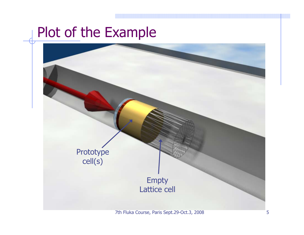### Plot of the Example

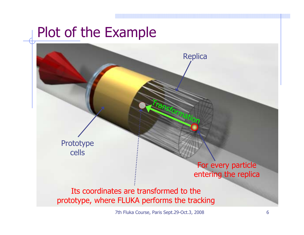## Plot of the Example

Prototype cells

#### For every particle entering the replic a

**Replica** 

Transformation

Its coordinates are transformed to the prototype, where FLUKA performs the tracking

7th Fluka Course, Paris Sept. 29-Oct. 3, 2008 6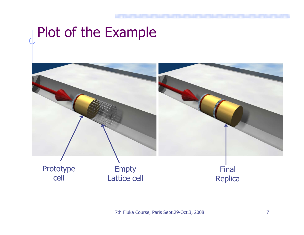### Plot of the Example



7th Fluka Course, Paris Sept.29-Oct.3, 2008 7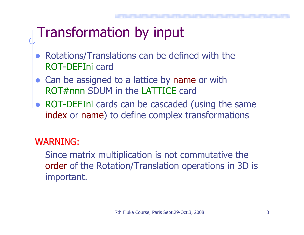# Transformation by input

- $\bullet$  Rotations/Translations can be defined with the ROT-DEFIni card
- $\bullet$  Can be assigned to a lattice by name or with ROT#nnn SDUM in the LATTICE card
- $\bullet$  ROT-DEFIni cards can be cascaded (using the same index or name) to define complex transformations

### WARNING:

Since matrix multiplication is not commutative the order of the Rotation/Translation operations in 3D is important.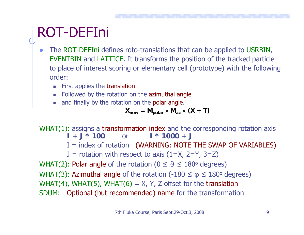## ROT-DEFIni

- $\bullet$  The ROT-DEFIni defines roto-translations that can be applied to USRBIN, EVENTBIN and LATTICE. It transforms the position of the tracked particle to place of interest scoring or elementary cell (prototype) with the following order:
	- П First applies the translation
	- Followed by the rotation on the azimuthal angle
	- П and finally by the rotation on the polar angle.

$$
X_{\text{new}} = M_{\text{polar}} \times M_{az} \times (X + T)
$$

WHAT(1): assigns a transformation index and the corresponding rotation axis  $I + J * 100$  or **I \* 1000 + J**  $I =$  index of rotation (WARNING: NOTE THE SWAP OF VARIABLES)  $J =$  rotation with respect to axis  $(1=X, 2=Y, 3=Z)$ WHAT(2): Polar angle of the rotation ( $0 \le \vartheta \le 180^\text{o}$  degrees) WHAT(3): Azimuthal angle of the rotation (-180  $\leq$   $\phi$   $\leq$  180° degrees) WHAT(4), WHAT(5), WHAT(6) =  $X$ , Y, Z offset for the translation SDUM: Optional (but recommended) name for the transformation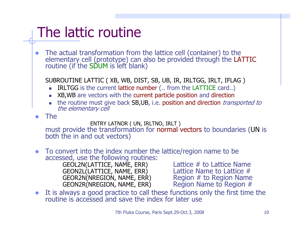# The lattic routine

 $\bullet$ The actual transformation from the lattice cell (container) to the elementary cell (prototype) can also be provided through the LATTIC routine (if the SDUM is left blank)

SUBROUTINE LATTIC ( XB, WB, DIST, SB, UB, IR, IRLTGG, IRLT, IFLAG )

- IRLTGG is the current lattice number (.. from the LATTICE card..)
- XB,WB are vectors with the current particle position and direction
- the routine must give back SB,UB, i.e. position and direction *transported to* the elementary cell
- $\bullet$ The

#### ENTRY LATNOR ( UN, IRLTNO, IRLT )

must provide the transformation for normal vectors to boundaries (UN is both the in and out vectors)

 $\bullet$ To convert into the index number the lattice/region name to be<br>accessed, use the following routines:<br>GEOL2N(LATTICE, NAME, ERR) Lattice # to Lattice Name

GEOL2N(LATTICE, NAME, ERR) Lattice # to Lattice Name<br>GEON2L(LATTICE, NAME, ERR) Lattice Name to Lattice # GEON2L(LATTICE, NAME, ERR) Lattice Name to Lattice #<br>GEOR2N(NREGION, NAME, ERR) Region # to Region Name GEOR2N(NREGION, NAME, ERR) Region # to Region Name<br>GEON2R(NREGION, NAME, ERR) Region Name to Region # GEON2R(NREGION, NAME, ERR)

 $\bullet$ It is always a good practice to call these functions only the first time the routine is accessed and save the index for later use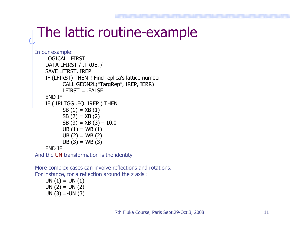## The lattic routine-example

```
In our example:
LOGICAL LFIRSTDATA LFIRST / .TRUE. /
SAVE LFIRST, IREP
IF (LFIRST) THEN ! Find replica's lattice number
       CALL GEON2L("TargRep", IREP, IERR)
       I FIRST = . FAI SF.END IF IF ( IRLTGG .EQ. IREP ) THEN
       SB(1) = XB(1)SB(2) = XB(2)SB (3) = XB (3) - 10.0UB(1) = WB(1)UB(2) = WB(2)UB(3) = WB(3)END IF
```
And the UN transformation is the identity

More complex cases can involve reflections and rotations. For instance, for a reflection around the z axis :

 $UN (1) = UN (1)$  $UN (2) = UN (2)$ UN  $(3) = -UN(3)$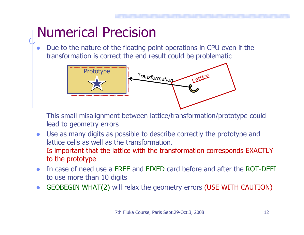# Numerical Precision

 $\bullet$  Due to the nature of the floating point operations in CPU even if the transformation is correct the end result could be problematic



This small misalignment between lattice/transformation/prototype could lead to geometry errors

- $\bullet$  Use as many digits as possible to describe correctly the prototype and lattice cells as well as the transformation.Is important that the lattice with the transformation corresponds EXACTLY to the prototype
- $\bullet$  In case of need use a FREE and FIXED card before and after the ROT-DEFI to use more than 10 digits
- $\bullet$ GEOBEGIN WHAT(2) will relax the geometry errors (USE WITH CAUTION)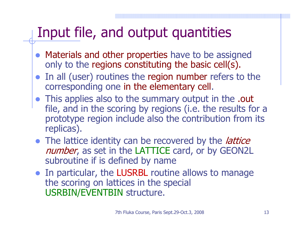# Input file, and output quantities

- $\bullet$  Materials and other properties have to be assigned only to the regions constituting the basic cell(s).
- In all (user) routines the region number refers to the corresponding one in the elementary cell.
- This applies also to the summary output in the .out file, and in the scoring by regions (i.e. the results for a prototype region include also the contribution from its replicas).
- The lattice identity can be recovered by the *lattice* number, as set in the LATTICE card, or by GEON2L subroutine if is defined by name
- In particular, the LUSRBL routine allows to manage the scoring on lattices in the special USRBIN/EVENTBIN structure.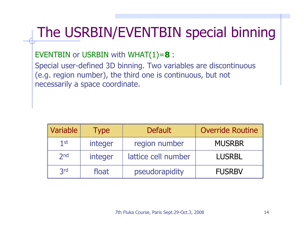# The USRBIN/EVENTBIN special binning

EVENTBIN or USRBIN with WHAT(1)= **8** :

Special user-defined 3D binning. Two variables are discontinuous (e.g. region number), the third one is continuous, but not necessarily a space coordinate.

| Variable        | <b>Type</b> | <b>Default</b>      | <b>Override Routine</b> |
|-----------------|-------------|---------------------|-------------------------|
| $1$ st          | integer     | region number       | <b>MUSRBR</b>           |
| 2 <sub>nd</sub> | integer     | lattice cell number | <b>LUSRBL</b>           |
| 3rd             | float       | pseudorapidity      | <b>FUSRBV</b>           |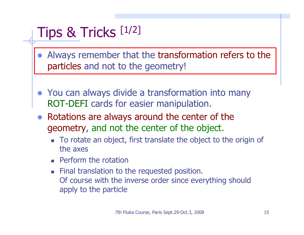## Tips & Tricks [1/2]

- $\bullet$  Always remember that the transformation refers to the particles and not to the geometry!
- You can always divide a transformation into many ROT-DEFI cards for easier manipulation.
- $\bullet$  Rotations are always around the center of the geometry, and not the center of the object.
	- To rotate an object, first translate the object to the origin of the axes
	- Г Perform the rotation
	- **Final translation to the requested position.** Of course with the inverse order since everything should apply to the particle